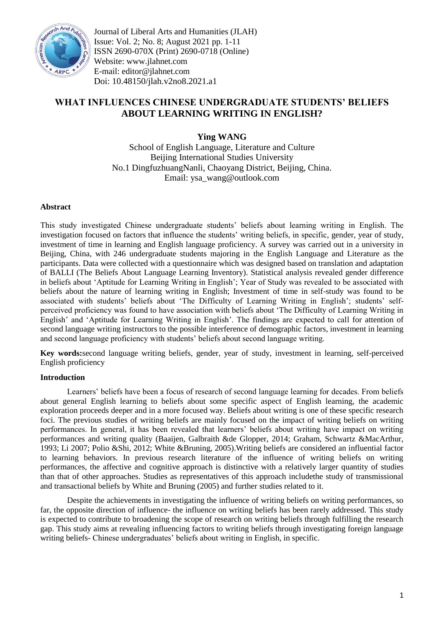

Journal of Liberal Arts and Humanities (JLAH) Issue: Vol. 2; No. 8; August 2021 pp. 1-11 ISSN 2690-070X (Print) 2690-0718 (Online) Website: www.jlahnet.com E-mail: editor@jlahnet.com Doi: 10.48150/jlah.v2no8.2021.a1

# **WHAT INFLUENCES CHINESE UNDERGRADUATE STUDENTS' BELIEFS ABOUT LEARNING WRITING IN ENGLISH?**

**Ying WANG**

School of English Language, Literature and Culture Beijing International Studies University No.1 DingfuzhuangNanli, Chaoyang District, Beijing, China. Email: ysa\_wang@outlook.com

### **Abstract**

This study investigated Chinese undergraduate students" beliefs about learning writing in English. The investigation focused on factors that influence the students' writing beliefs, in specific, gender, year of study, investment of time in learning and English language proficiency. A survey was carried out in a university in Beijing, China, with 246 undergraduate students majoring in the English Language and Literature as the participants. Data were collected with a questionnaire which was designed based on translation and adaptation of BALLI (The Beliefs About Language Learning Inventory). Statistical analysis revealed gender difference in beliefs about "Aptitude for Learning Writing in English"; Year of Study was revealed to be associated with beliefs about the nature of learning writing in English; Investment of time in self-study was found to be associated with students' beliefs about 'The Difficulty of Learning Writing in English'; students' selfperceived proficiency was found to have association with beliefs about "The Difficulty of Learning Writing in English" and "Aptitude for Learning Writing in English". The findings are expected to call for attention of second language writing instructors to the possible interference of demographic factors, investment in learning and second language proficiency with students" beliefs about second language writing.

**Key words:**second language writing beliefs, gender, year of study, investment in learning, self-perceived English proficiency

### **Introduction**

Learners" beliefs have been a focus of research of second language learning for decades. From beliefs about general English learning to beliefs about some specific aspect of English learning, the academic exploration proceeds deeper and in a more focused way. Beliefs about writing is one of these specific research foci. The previous studies of writing beliefs are mainly focused on the impact of writing beliefs on writing performances. In general, it has been revealed that learners" beliefs about writing have impact on writing performances and writing quality (Baaijen, Galbraith &de Glopper, 2014; Graham, Schwartz &MacArthur, 1993; Li 2007; Polio &Shi, 2012; White &Bruning, 2005).Writing beliefs are considered an influential factor to learning behaviors. In previous research literature of the influence of writing beliefs on writing performances, the affective and cognitive approach is distinctive with a relatively larger quantity of studies than that of other approaches. Studies as representatives of this approach includethe study of transmissional and transactional beliefs by White and Bruning (2005) and further studies related to it.

Despite the achievements in investigating the influence of writing beliefs on writing performances, so far, the opposite direction of influence- the influence on writing beliefs has been rarely addressed. This study is expected to contribute to broadening the scope of research on writing beliefs through fulfilling the research gap. This study aims at revealing influencing factors to writing beliefs through investigating foreign language writing beliefs- Chinese undergraduates' beliefs about writing in English, in specific.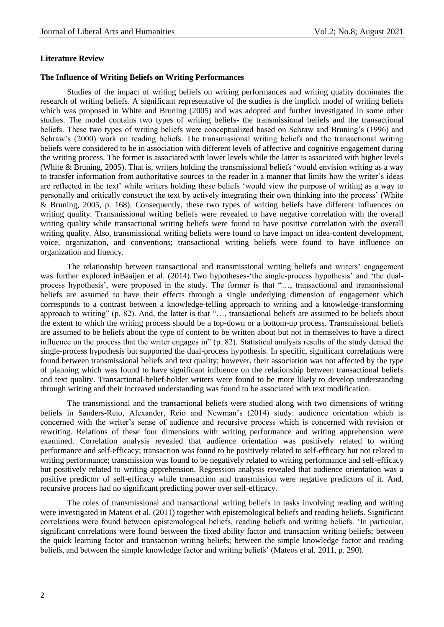#### **Literature Review**

### **The Influence of Writing Beliefs on Writing Performances**

Studies of the impact of writing beliefs on writing performances and writing quality dominates the research of writing beliefs. A significant representative of the studies is the implicit model of writing beliefs which was proposed in White and Bruning (2005) and was adopted and further investigated in some other studies. The model contains two types of writing beliefs- the transmissional beliefs and the transactional beliefs. These two types of writing beliefs were conceptualized based on Schraw and Bruning"s (1996) and Schraw's (2000) work on reading beliefs. The transmissional writing beliefs and the transactional writing beliefs were considered to be in association with different levels of affective and cognitive engagement during the writing process. The former is associated with lower levels while the latter is associated with higher levels (White & Bruning, 2005). That is, writers holding the transmissional beliefs "would envision writing as a way to transfer information from authoritative sources to the reader in a manner that limits how the writer"s ideas are reflected in the text" while writers holding these beliefs "would view the purpose of writing as a way to personally and critically construct the text by actively integrating their own thinking into the process" (White & Bruning, 2005, p. 168). Consequently, these two types of writing beliefs have different influences on writing quality. Transmissional writing beliefs were revealed to have negative correlation with the overall writing quality while transactional writing beliefs were found to have positive correlation with the overall writing quality. Also, transmissional writing beliefs were found to have impact on idea-content development, voice, organization, and conventions; transactional writing beliefs were found to have influence on organization and fluency.

The relationship between transactional and transmissional writing beliefs and writers" engagement was further explored inBaaijen et al. (2014). Two hypotheses-'the single-process hypothesis' and 'the dualprocess hypothesis', were proposed in the study. The former is that "..., transactional and transmissional beliefs are assumed to have their effects through a single underlying dimension of engagement which corresponds to a contrast between a knowledge-telling approach to writing and a knowledge-transforming approach to writing" (p. 82). And, the latter is that "…, transactional beliefs are assumed to be beliefs about the extent to which the writing process should be a top-down or a bottom-up process. Transmissional beliefs are assumed to be beliefs about the type of content to be written about but not in themselves to have a direct influence on the process that the writer engages in" (p. 82). Statistical analysis results of the study denied the single-process hypothesis but supported the dual-process hypothesis. In specific, significant correlations were found between transmissional beliefs and text quality; however, their association was not affected by the type of planning which was found to have significant influence on the relationship between transactional beliefs and text quality. Transactional-belief-holder writers were found to be more likely to develop understanding through writing and their increased understanding was found to be associated with text modification.

The transmissional and the transactional beliefs were studied along with two dimensions of writing beliefs in Sanders-Reio, Alexander, Reio and Newman's (2014) study: audience orientation which is concerned with the writer"s sense of audience and recursive process which is concerned with revision or rewriting. Relations of these four dimensions with writing performance and writing apprehension were examined. Correlation analysis revealed that audience orientation was positively related to writing performance and self-efficacy; transaction was found to be positively related to self-efficacy but not related to writing performance; transmission was found to be negatively related to writing performance and self-efficacy but positively related to writing apprehension. Regression analysis revealed that audience orientation was a positive predictor of self-efficacy while transaction and transmission were negative predictors of it. And, recursive process had no significant predicting power over self-efficacy.

The roles of transmissional and transactional writing beliefs in tasks involving reading and writing were investigated in Mateos et al. (2011) together with epistemological beliefs and reading beliefs. Significant correlations were found between epistemological beliefs, reading beliefs and writing beliefs. "In particular, significant correlations were found between the fixed ability factor and transaction writing beliefs; between the quick learning factor and transaction writing beliefs; between the simple knowledge factor and reading beliefs, and between the simple knowledge factor and writing beliefs" (Mateos et al. 2011, p. 290).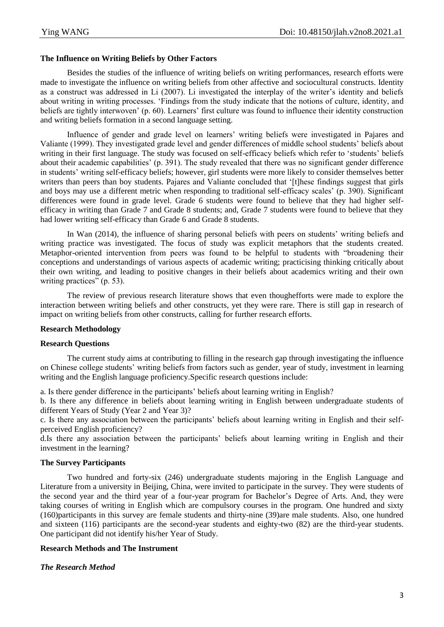# **The Influence on Writing Beliefs by Other Factors**

Besides the studies of the influence of writing beliefs on writing performances, research efforts were made to investigate the influence on writing beliefs from other affective and sociocultural constructs. Identity as a construct was addressed in Li (2007). Li investigated the interplay of the writer"s identity and beliefs about writing in writing processes. "Findings from the study indicate that the notions of culture, identity, and beliefs are tightly interwoven" (p. 60). Learners" first culture was found to influence their identity construction and writing beliefs formation in a second language setting.

Influence of gender and grade level on learners' writing beliefs were investigated in Pajares and Valiante (1999). They investigated grade level and gender differences of middle school students" beliefs about writing in their first language. The study was focused on self-efficacy beliefs which refer to 'students' beliefs about their academic capabilities' (p. 391). The study revealed that there was no significant gender difference in students' writing self-efficacy beliefs; however, girl students were more likely to consider themselves better writers than peers than boy students. Pajares and Valiante concluded that '[t]hese findings suggest that girls and boys may use a different metric when responding to traditional self-efficacy scales" (p. 390). Significant differences were found in grade level. Grade 6 students were found to believe that they had higher selfefficacy in writing than Grade 7 and Grade 8 students; and, Grade 7 students were found to believe that they had lower writing self-efficacy than Grade 6 and Grade 8 students.

In Wan (2014), the influence of sharing personal beliefs with peers on students' writing beliefs and writing practice was investigated. The focus of study was explicit metaphors that the students created. Metaphor-oriented intervention from peers was found to be helpful to students with "broadening their conceptions and understandings of various aspects of academic writing; practicising thinking critically about their own writing, and leading to positive changes in their beliefs about academics writing and their own writing practices" (p. 53).

The review of previous research literature shows that even thoughefforts were made to explore the interaction between writing beliefs and other constructs, yet they were rare. There is still gap in research of impact on writing beliefs from other constructs, calling for further research efforts.

### **Research Methodology**

### **Research Questions**

The current study aims at contributing to filling in the research gap through investigating the influence on Chinese college students" writing beliefs from factors such as gender, year of study, investment in learning writing and the English language proficiency.Specific research questions include:

a. Is there gender difference in the participants' beliefs about learning writing in English?

b. Is there any difference in beliefs about learning writing in English between undergraduate students of different Years of Study (Year 2 and Year 3)?

c. Is there any association between the participants" beliefs about learning writing in English and their selfperceived English proficiency?

d.Is there any association between the participants" beliefs about learning writing in English and their investment in the learning?

# **The Survey Participants**

Two hundred and forty-six (246) undergraduate students majoring in the English Language and Literature from a university in Beijing, China, were invited to participate in the survey. They were students of the second year and the third year of a four-year program for Bachelor"s Degree of Arts. And, they were taking courses of writing in English which are compulsory courses in the program. One hundred and sixty (160)participants in this survey are female students and thirty-nine (39)are male students. Also, one hundred and sixteen (116) participants are the second-year students and eighty-two (82) are the third-year students. One participant did not identify his/her Year of Study.

# **Research Methods and The Instrument**

# *The Research Method*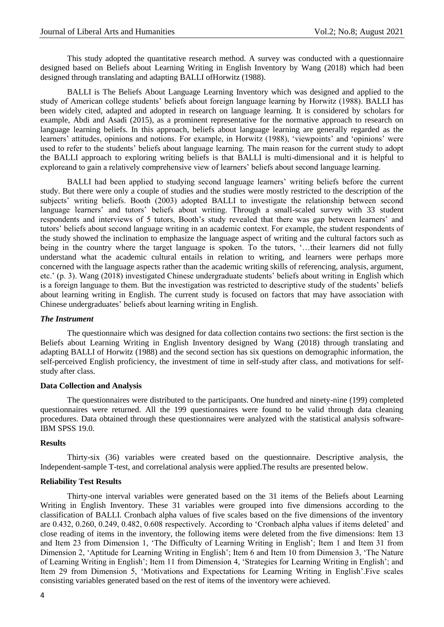This study adopted the quantitative research method. A survey was conducted with a questionnaire designed based on Beliefs about Learning Writing in English Inventory by Wang (2018) which had been designed through translating and adapting BALLI ofHorwitz (1988).

BALLI is The Beliefs About Language Learning Inventory which was designed and applied to the study of American college students' beliefs about foreign language learning by Horwitz (1988). BALLI has been widely cited, adapted and adopted in research on language learning. It is considered by scholars for example, Abdi and Asadi (2015), as a prominent representative for the normative approach to research on language learning beliefs. In this approach, beliefs about language learning are generally regarded as the learners' attitudes, opinions and notions. For example, in Horwitz (1988), 'viewpoints' and 'opinions' were used to refer to the students" beliefs about language learning. The main reason for the current study to adopt the BALLI approach to exploring writing beliefs is that BALLI is multi-dimensional and it is helpful to exploreand to gain a relatively comprehensive view of learners" beliefs about second language learning.

BALLI had been applied to studying second language learners' writing beliefs before the current study. But there were only a couple of studies and the studies were mostly restricted to the description of the subjects' writing beliefs. Booth (2003) adopted BALLI to investigate the relationship between second language learners' and tutors' beliefs about writing. Through a small-scaled survey with 33 student respondents and interviews of 5 tutors, Booth"s study revealed that there was gap between learners" and tutors" beliefs about second language writing in an academic context. For example, the student respondents of the study showed the inclination to emphasize the language aspect of writing and the cultural factors such as being in the country where the target language is spoken. To the tutors, '...their learners did not fully understand what the academic cultural entails in relation to writing, and learners were perhaps more concerned with the language aspects rather than the academic writing skills of referencing, analysis, argument, etc." (p. 3). Wang (2018) investigated Chinese undergraduate students" beliefs about writing in English which is a foreign language to them. But the investigation was restricted to descriptive study of the students" beliefs about learning writing in English. The current study is focused on factors that may have association with Chinese undergraduates" beliefs about learning writing in English.

#### *The Instrument*

The questionnaire which was designed for data collection contains two sections: the first section is the Beliefs about Learning Writing in English Inventory designed by Wang (2018) through translating and adapting BALLI of Horwitz (1988) and the second section has six questions on demographic information, the self-perceived English proficiency, the investment of time in self-study after class, and motivations for selfstudy after class.

#### **Data Collection and Analysis**

The questionnaires were distributed to the participants. One hundred and ninety-nine (199) completed questionnaires were returned. All the 199 questionnaires were found to be valid through data cleaning procedures. Data obtained through these questionnaires were analyzed with the statistical analysis software-IBM SPSS 19.0.

### **Results**

Thirty-six (36) variables were created based on the questionnaire. Descriptive analysis, the Independent-sample T-test, and correlational analysis were applied.The results are presented below.

#### **Reliability Test Results**

Thirty-one interval variables were generated based on the 31 items of the Beliefs about Learning Writing in English Inventory. These 31 variables were grouped into five dimensions according to the classification of BALLI. Cronbach alpha values of five scales based on the five dimensions of the inventory are 0.432, 0.260, 0.249, 0.482, 0.608 respectively. According to "Cronbach alpha values if items deleted" and close reading of items in the inventory, the following items were deleted from the five dimensions: Item 13 and Item 23 from Dimension 1, "The Difficulty of Learning Writing in English"; Item 1 and Item 31 from Dimension 2, "Aptitude for Learning Writing in English"; Item 6 and Item 10 from Dimension 3, "The Nature of Learning Writing in English"; Item 11 from Dimension 4, "Strategies for Learning Writing in English"; and Item 29 from Dimension 5, "Motivations and Expectations for Learning Writing in English".Five scales consisting variables generated based on the rest of items of the inventory were achieved.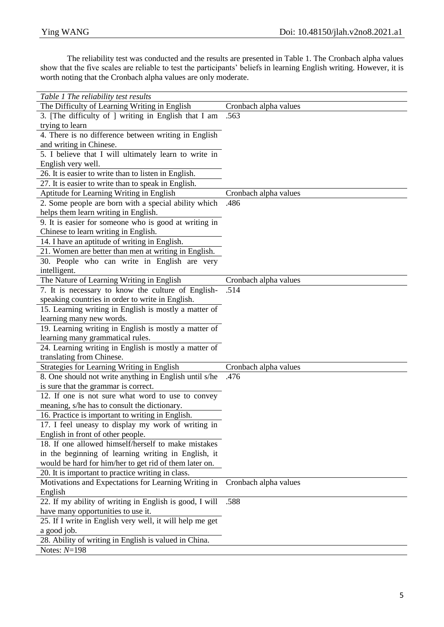The reliability test was conducted and the results are presented in Table 1. The Cronbach alpha values show that the five scales are reliable to test the participants' beliefs in learning English writing. However, it is worth noting that the Cronbach alpha values are only moderate.

| Table 1 The reliability test results                     |                       |
|----------------------------------------------------------|-----------------------|
| The Difficulty of Learning Writing in English            | Cronbach alpha values |
| 3. [The difficulty of ] writing in English that I am     | .563                  |
| trying to learn                                          |                       |
| 4. There is no difference between writing in English     |                       |
| and writing in Chinese.                                  |                       |
| 5. I believe that I will ultimately learn to write in    |                       |
| English very well.                                       |                       |
| 26. It is easier to write than to listen in English.     |                       |
| 27. It is easier to write than to speak in English.      |                       |
| Aptitude for Learning Writing in English                 | Cronbach alpha values |
| 2. Some people are born with a special ability which     | .486                  |
| helps them learn writing in English.                     |                       |
| 9. It is easier for someone who is good at writing in    |                       |
| Chinese to learn writing in English.                     |                       |
| 14. I have an aptitude of writing in English.            |                       |
| 21. Women are better than men at writing in English.     |                       |
| 30. People who can write in English are very             |                       |
| intelligent.                                             |                       |
| The Nature of Learning Writing in English                | Cronbach alpha values |
| 7. It is necessary to know the culture of English-       | .514                  |
| speaking countries in order to write in English.         |                       |
| 15. Learning writing in English is mostly a matter of    |                       |
| learning many new words.                                 |                       |
| 19. Learning writing in English is mostly a matter of    |                       |
| learning many grammatical rules.                         |                       |
| 24. Learning writing in English is mostly a matter of    |                       |
| translating from Chinese.                                |                       |
| Strategies for Learning Writing in English               | Cronbach alpha values |
| 8. One should not write anything in English until s/he   | .476                  |
| is sure that the grammar is correct.                     |                       |
| 12. If one is not sure what word to use to convey        |                       |
| meaning, s/he has to consult the dictionary.             |                       |
| 16. Practice is important to writing in English.         |                       |
| 17. I feel uneasy to display my work of writing in       |                       |
| English in front of other people.                        |                       |
| 18. If one allowed himself/herself to make mistakes      |                       |
| in the beginning of learning writing in English, it      |                       |
| would be hard for him/her to get rid of them later on.   |                       |
| 20. It is important to practice writing in class.        |                       |
| Motivations and Expectations for Learning Writing in     | Cronbach alpha values |
| English                                                  |                       |
| 22. If my ability of writing in English is good, I will  | .588                  |
| have many opportunities to use it.                       |                       |
| 25. If I write in English very well, it will help me get |                       |
| a good job.                                              |                       |
| 28. Ability of writing in English is valued in China.    |                       |
| Notes: $N=198$                                           |                       |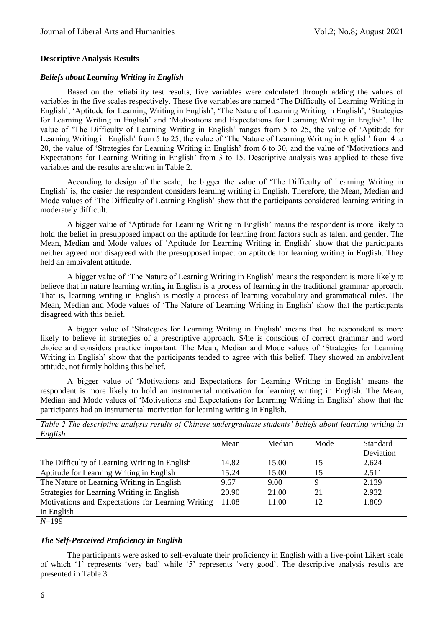#### **Descriptive Analysis Results**

#### *Beliefs about Learning Writing in English*

Based on the reliability test results, five variables were calculated through adding the values of variables in the five scales respectively. These five variables are named "The Difficulty of Learning Writing in English", "Aptitude for Learning Writing in English", "The Nature of Learning Writing in English", "Strategies for Learning Writing in English' and 'Motivations and Expectations for Learning Writing in English'. The value of 'The Difficulty of Learning Writing in English' ranges from 5 to 25, the value of 'Aptitude for Learning Writing in English' from 5 to 25, the value of 'The Nature of Learning Writing in English' from 4 to 20, the value of "Strategies for Learning Writing in English" from 6 to 30, and the value of "Motivations and Expectations for Learning Writing in English" from 3 to 15. Descriptive analysis was applied to these five variables and the results are shown in Table 2.

According to design of the scale, the bigger the value of "The Difficulty of Learning Writing in English' is, the easier the respondent considers learning writing in English. Therefore, the Mean, Median and Mode values of 'The Difficulty of Learning English' show that the participants considered learning writing in moderately difficult.

A bigger value of "Aptitude for Learning Writing in English" means the respondent is more likely to hold the belief in presupposed impact on the aptitude for learning from factors such as talent and gender. The Mean, Median and Mode values of "Aptitude for Learning Writing in English" show that the participants neither agreed nor disagreed with the presupposed impact on aptitude for learning writing in English. They held an ambivalent attitude.

A bigger value of "The Nature of Learning Writing in English" means the respondent is more likely to believe that in nature learning writing in English is a process of learning in the traditional grammar approach. That is, learning writing in English is mostly a process of learning vocabulary and grammatical rules. The Mean, Median and Mode values of "The Nature of Learning Writing in English" show that the participants disagreed with this belief.

A bigger value of "Strategies for Learning Writing in English" means that the respondent is more likely to believe in strategies of a prescriptive approach. S/he is conscious of correct grammar and word choice and considers practice important. The Mean, Median and Mode values of "Strategies for Learning Writing in English' show that the participants tended to agree with this belief. They showed an ambivalent attitude, not firmly holding this belief.

A bigger value of "Motivations and Expectations for Learning Writing in English" means the respondent is more likely to hold an instrumental motivation for learning writing in English. The Mean, Median and Mode values of "Motivations and Expectations for Learning Writing in English" show that the participants had an instrumental motivation for learning writing in English.

| <i>Engusn</i>                                     |       |        |      |                 |
|---------------------------------------------------|-------|--------|------|-----------------|
|                                                   | Mean  | Median | Mode | <b>Standard</b> |
|                                                   |       |        |      | Deviation       |
| The Difficulty of Learning Writing in English     | 14.82 | 15.00  | 15   | 2.624           |
| Aptitude for Learning Writing in English          | 15.24 | 15.00  | 15   | 2.511           |
| The Nature of Learning Writing in English         | 9.67  | 9.00   | Q    | 2.139           |
| Strategies for Learning Writing in English        | 20.90 | 21.00  | 21   | 2.932           |
| Motivations and Expectations for Learning Writing | 11.08 | 11.00  | 12   | 1.809           |
| in English                                        |       |        |      |                 |
| $N=199$                                           |       |        |      |                 |

*Table 2 The descriptive analysis results of Chinese undergraduate students' beliefs about learning writing in English*

### *The Self-Perceived Proficiency in English*

The participants were asked to self-evaluate their proficiency in English with a five-point Likert scale of which "1" represents "very bad" while "5" represents "very good". The descriptive analysis results are presented in Table 3.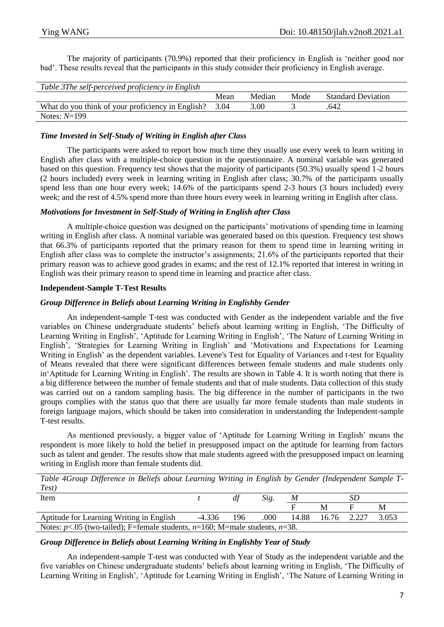The majority of participants (70.9%) reported that their proficiency in English is "neither good nor bad". These results reveal that the participants in this study consider their proficiency in English average.

| Table 3The self-perceived proficiency in English  |      |        |      |                           |
|---------------------------------------------------|------|--------|------|---------------------------|
|                                                   | Mean | Median | Mode | <b>Standard Deviation</b> |
| What do you think of your proficiency in English? | 3.04 | 3.00   |      | .642                      |
| Notes: $N=199$                                    |      |        |      |                           |

# *Time Invested in Self-Study of Writing in English after Class*

The participants were asked to report how much time they usually use every week to learn writing in English after class with a multiple-choice question in the questionnaire. A nominal variable was generated based on this question. Frequency test shows that the majority of participants (50.3%) usually spend 1-2 hours (2 hours included) every week in learning writing in English after class; 30.7% of the participants usually spend less than one hour every week; 14.6% of the participants spend 2-3 hours (3 hours included) every week; and the rest of 4.5% spend more than three hours every week in learning writing in English after class.

# *Motivations for Investment in Self-Study of Writing in English after Class*

A multiple-choice question was designed on the participants" motivations of spending time in learning writing in English after class. A nominal variable was generated based on this question. Frequency test shows that 66.3% of participants reported that the primary reason for them to spend time in learning writing in English after class was to complete the instructor's assignments; 21.6% of the participants reported that their primary reason was to achieve good grades in exams; and the rest of 12.1% reported that interest in writing in English was their primary reason to spend time in learning and practice after class.

# **Independent-Sample T-Test Results**

# *Group Difference in Beliefs about Learning Writing in Englishby Gender*

An independent-sample T-test was conducted with Gender as the independent variable and the five variables on Chinese undergraduate students" beliefs about learning writing in English, "The Difficulty of Learning Writing in English', 'Aptitude for Learning Writing in English', 'The Nature of Learning Writing in English", "Strategies for Learning Writing in English" and "Motivations and Expectations for Learning Writing in English' as the dependent variables. Levene's Test for Equality of Variances and t-test for Equality of Means revealed that there were significant differences between female students and male students only in"Aptitude for Learning Writing in English". The results are shown in Table 4. It is worth noting that there is a big difference between the number of female students and that of male students. Data collection of this study was carried out on a random sampling basis. The big difference in the number of participants in the two groups complies with the status quo that there are usually far more female students than male students in foreign language majors, which should be taken into consideration in understanding the Independent-sample T-test results.

As mentioned previously, a bigger value of 'Aptitude for Learning Writing in English' means the respondent is more likely to hold the belief in presupposed impact on the aptitude for learning from factors such as talent and gender. The results show that male students agreed with the presupposed impact on learning writing in English more than female students did.

*Table 4Group Difference in Beliefs about Learning Writing in English by Gender (Independent Sample T-Test)*

| Item                                                                                   |  | dt | Sig. | M |  | SΡ |   |  |  |
|----------------------------------------------------------------------------------------|--|----|------|---|--|----|---|--|--|
|                                                                                        |  |    |      |   |  |    | M |  |  |
| Aptitude for Learning Writing in English<br>14.88 16.76 2.227<br>-4.336<br>196<br>.000 |  |    |      |   |  |    |   |  |  |
| Notes: $p<.05$ (two-tailed); F=female students, $n=160$ ; M=male students, $n=38$ .    |  |    |      |   |  |    |   |  |  |

# *Group Difference in Beliefs about Learning Writing in Englishby Year of Study*

An independent-sample T-test was conducted with Year of Study as the independent variable and the five variables on Chinese undergraduate students" beliefs about learning writing in English, "The Difficulty of Learning Writing in English", "Aptitude for Learning Writing in English", "The Nature of Learning Writing in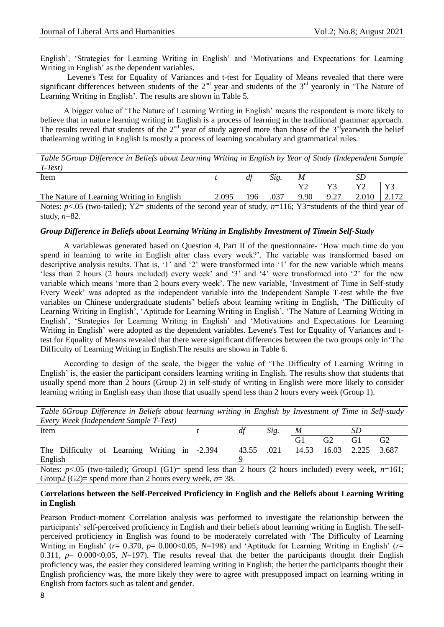English", "Strategies for Learning Writing in English" and "Motivations and Expectations for Learning Writing in English' as the dependent variables.

Levene's Test for Equality of Variances and t-test for Equality of Means revealed that there were significant differences between students of the  $2<sup>nd</sup>$  year and students of the  $3<sup>rd</sup>$  yearonly in 'The Nature of Learning Writing in English'. The results are shown in Table 5.

A bigger value of "The Nature of Learning Writing in English" means the respondent is more likely to believe that in nature learning writing in English is a process of learning in the traditional grammar approach. The results reveal that students of the  $2<sup>nd</sup>$  year of study agreed more than those of the  $3<sup>rd</sup>$ yearwith the belief thatlearning writing in English is mostly a process of learning vocabulary and grammatical rules.

*Table 5Group Difference in Beliefs about Learning Writing in English by Year of Study (Independent Sample T-Test)*

| Item                                                                                                               |       | df  | Sig. | $\boldsymbol{M}$ | SD   |       |       |
|--------------------------------------------------------------------------------------------------------------------|-------|-----|------|------------------|------|-------|-------|
|                                                                                                                    |       |     |      |                  | V3   | Y2.   | Y3    |
| The Nature of Learning Writing in English                                                                          | 2.095 | 196 | .037 | 9.90             | 9.27 | 2.010 | 2.172 |
| Notes: $p<0.05$ (two-tailed); Y2= students of the second year of study, $n=116$ ; Y3=students of the third year of |       |     |      |                  |      |       |       |
| study, $n=82$ .                                                                                                    |       |     |      |                  |      |       |       |

# *Group Difference in Beliefs about Learning Writing in Englishby Investment of Timein Self-Study*

A variablewas generated based on Question 4, Part II of the questionnaire- "How much time do you spend in learning to write in English after class every week?". The variable was transformed based on descriptive analysis results. That is, '1' and '2' were transformed into '1' for the new variable which means "less than 2 hours (2 hours included) every week" and "3" and "4" were transformed into "2" for the new variable which means "more than 2 hours every week". The new variable, "Investment of Time in Self-study Every Week" was adopted as the independent variable into the Independent Sample T-test while the five variables on Chinese undergraduate students" beliefs about learning writing in English, "The Difficulty of Learning Writing in English", "Aptitude for Learning Writing in English", "The Nature of Learning Writing in English", "Strategies for Learning Writing in English" and "Motivations and Expectations for Learning Writing in English' were adopted as the dependent variables. Levene's Test for Equality of Variances and ttest for Equality of Means revealed that there were significant differences between the two groups only in"The Difficulty of Learning Writing in English.The results are shown in Table 6.

According to design of the scale, the bigger the value of "The Difficulty of Learning Writing in English" is, the easier the participant considers learning writing in English. The results show that students that usually spend more than 2 hours (Group 2) in self-study of writing in English were more likely to consider learning writing in English easy than those that usually spend less than 2 hours every week (Group 1).

|  |                                        |  |  |  |  | Table 6Group Difference in Beliefs about learning writing in English by Investment of Time in Self-study |  |  |
|--|----------------------------------------|--|--|--|--|----------------------------------------------------------------------------------------------------------|--|--|
|  | Every Week (Independent Sample T-Test) |  |  |  |  |                                                                                                          |  |  |

| Item                                                                                                       | df | Sig.                         | $\boldsymbol{M}$ |    | SD. |                |
|------------------------------------------------------------------------------------------------------------|----|------------------------------|------------------|----|-----|----------------|
|                                                                                                            |    |                              |                  | G2 | G1  | G <sub>2</sub> |
| The Difficulty of Learning Writing in -2.394                                                               |    | 43.55 .021 14.53 16.03 2.225 |                  |    |     | 3.687          |
| English                                                                                                    |    |                              |                  |    |     |                |
| Notes: $p<.05$ (two-tailed); Group1 (G1)= spend less than 2 hours (2 hours included) every week, $n=161$ ; |    |                              |                  |    |     |                |
|                                                                                                            |    |                              |                  |    |     |                |

Group2 (G2)= spend more than 2 hours every week, *n*= 38.

### **Correlations between the Self-Perceived Proficiency in English and the Beliefs about Learning Writing in English**

Pearson Product-moment Correlation analysis was performed to investigate the relationship between the participants" self-perceived proficiency in English and their beliefs about learning writing in English. The selfperceived proficiency in English was found to be moderately correlated with "The Difficulty of Learning Writing in English' ( $r= 0.370$ ,  $p= 0.000<0.05$ ,  $N=198$ ) and 'Aptitude for Learning Writing in English' ( $r=$ 0.311,  $p= 0.000<0.05$ ,  $N=197$ ). The results reveal that the better the participants thought their English proficiency was, the easier they considered learning writing in English; the better the participants thought their English proficiency was, the more likely they were to agree with presupposed impact on learning writing in English from factors such as talent and gender.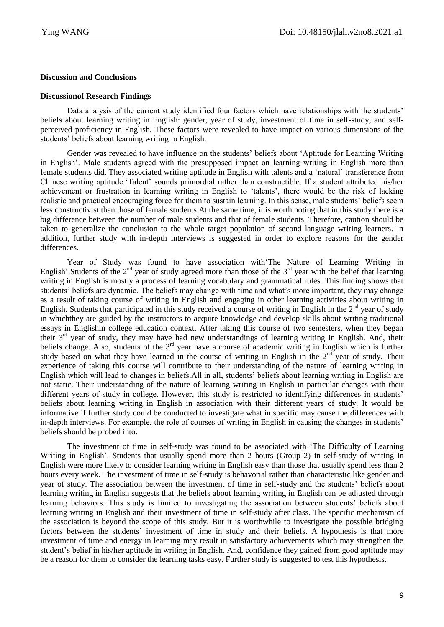# **Discussion and Conclusions**

# **Discussionof Research Findings**

Data analysis of the current study identified four factors which have relationships with the students' beliefs about learning writing in English: gender, year of study, investment of time in self-study, and selfperceived proficiency in English. These factors were revealed to have impact on various dimensions of the students" beliefs about learning writing in English.

Gender was revealed to have influence on the students" beliefs about "Aptitude for Learning Writing in English". Male students agreed with the presupposed impact on learning writing in English more than female students did. They associated writing aptitude in English with talents and a "natural" transference from Chinese writing aptitude."Talent" sounds primordial rather than constructible. If a student attributed his/her achievement or frustration in learning writing in English to "talents", there would be the risk of lacking realistic and practical encouraging force for them to sustain learning. In this sense, male students" beliefs seem less constructivist than those of female students.At the same time, it is worth noting that in this study there is a big difference between the number of male students and that of female students. Therefore, caution should be taken to generalize the conclusion to the whole target population of second language writing learners. In addition, further study with in-depth interviews is suggested in order to explore reasons for the gender differences.

Year of Study was found to have association with"The Nature of Learning Writing in English'. Students of the  $2<sup>nd</sup>$  year of study agreed more than those of the  $3<sup>rd</sup>$  year with the belief that learning writing in English is mostly a process of learning vocabulary and grammatical rules. This finding shows that students" beliefs are dynamic. The beliefs may change with time and what"s more important, they may change as a result of taking course of writing in English and engaging in other learning activities about writing in English. Students that participated in this study received a course of writing in English in the  $2<sup>nd</sup>$  year of study in whichthey are guided by the instructors to acquire knowledge and develop skills about writing traditional essays in Englishin college education context. After taking this course of two semesters, when they began their 3rd year of study, they may have had new understandings of learning writing in English. And, their beliefs change. Also, students of the  $3<sup>rd</sup>$  year have a course of academic writing in English which is further study based on what they have learned in the course of writing in English in the 2<sup>nd</sup> year of study. Their experience of taking this course will contribute to their understanding of the nature of learning writing in English which will lead to changes in beliefs.All in all, students" beliefs about learning writing in English are not static. Their understanding of the nature of learning writing in English in particular changes with their different years of study in college. However, this study is restricted to identifying differences in students' beliefs about learning writing in English in association with their different years of study. It would be informative if further study could be conducted to investigate what in specific may cause the differences with in-depth interviews. For example, the role of courses of writing in English in causing the changes in students" beliefs should be probed into.

The investment of time in self-study was found to be associated with "The Difficulty of Learning Writing in English'. Students that usually spend more than 2 hours (Group 2) in self-study of writing in English were more likely to consider learning writing in English easy than those that usually spend less than 2 hours every week. The investment of time in self-study is behavorial rather than characteristic like gender and year of study. The association between the investment of time in self-study and the students" beliefs about learning writing in English suggests that the beliefs about learning writing in English can be adjusted through learning behaviors. This study is limited to investigating the association between students' beliefs about learning writing in English and their investment of time in self-study after class. The specific mechanism of the association is beyond the scope of this study. But it is worthwhile to investigate the possible bridging factors between the students' investment of time in study and their beliefs. A hypothesis is that more investment of time and energy in learning may result in satisfactory achievements which may strengthen the student"s belief in his/her aptitude in writing in English. And, confidence they gained from good aptitude may be a reason for them to consider the learning tasks easy. Further study is suggested to test this hypothesis.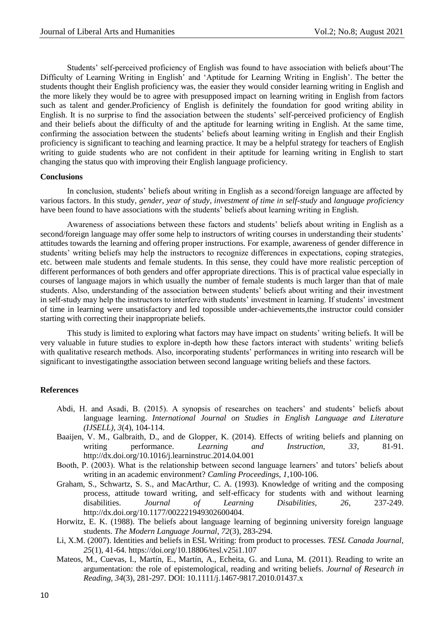Students" self-perceived proficiency of English was found to have association with beliefs about"The Difficulty of Learning Writing in English" and "Aptitude for Learning Writing in English". The better the students thought their English proficiency was, the easier they would consider learning writing in English and the more likely they would be to agree with presupposed impact on learning writing in English from factors such as talent and gender.Proficiency of English is definitely the foundation for good writing ability in English. It is no surprise to find the association between the students" self-perceived proficiency of English and their beliefs about the difficulty of and the aptitude for learning writing in English. At the same time, confirming the association between the students" beliefs about learning writing in English and their English proficiency is significant to teaching and learning practice. It may be a helpful strategy for teachers of English writing to guide students who are not confident in their aptitude for learning writing in English to start changing the status quo with improving their English language proficiency.

#### **Conclusions**

In conclusion, students' beliefs about writing in English as a second/foreign language are affected by various factors. In this study, *gender*, *year of study*, *investment of time in self-study* and *language proficiency* have been found to have associations with the students" beliefs about learning writing in English.

Awareness of associations between these factors and students" beliefs about writing in English as a second/foreign language may offer some help to instructors of writing courses in understanding their students' attitudes towards the learning and offering proper instructions. For example, awareness of gender difference in students" writing beliefs may help the instructors to recognize differences in expectations, coping strategies, etc. between male students and female students. In this sense, they could have more realistic perception of different performances of both genders and offer appropriate directions. This is of practical value especially in courses of language majors in which usually the number of female students is much larger than that of male students. Also, understanding of the association between students" beliefs about writing and their investment in self-study may help the instructors to interfere with students' investment in learning. If students' investment of time in learning were unsatisfactory and led topossible under-achievements,the instructor could consider starting with correcting their inappropriate beliefs.

This study is limited to exploring what factors may have impact on students' writing beliefs. It will be very valuable in future studies to explore in-depth how these factors interact with students" writing beliefs with qualitative research methods. Also, incorporating students' performances in writing into research will be significant to investigatingthe association between second language writing beliefs and these factors.

# **References**

- Abdi, H. and Asadi, B. (2015). A synopsis of researches on teachers" and students" beliefs about language learning. *International Journal on Studies in English Language and Literature (IJSELL), 3*(4), 104-114.
- Baaijen, V. M., Galbraith, D., and de Glopper, K. (2014). Effects of writing beliefs and planning on writing performance. *Learning and Instruction, 33*, 81-91. http://dx.doi.org/10.1016/j.learninstruc.2014.04.001
- Booth, P. (2003). What is the relationship between second language learners' and tutors' beliefs about writing in an academic environment? *Camling Proceedings, 1*,100-106.
- Graham, S., Schwartz, S. S., and MacArthur, C. A. (1993). Knowledge of writing and the composing process, attitude toward writing, and self-efficacy for students with and without learning disabilities. *Journal of Learning Disabilities, 26*, 237-249. http://dx.doi.org/10.1177/002221949302600404.
- Horwitz, E. K. (1988). The beliefs about language learning of beginning university foreign language students. *The Modern Language Journal, 72*(3), 283-294.
- Li, X.M. (2007). Identities and beliefs in ESL Writing: from product to processes. *TESL Canada Journal, 25*(1), 41-64. https://doi.org/10.18806/tesl.v25i1.107
- Mateos, M., Cuevas, I., Martín, E., Martín, A., Echeita, G. and Luna, M. (2011). Reading to write an argumentation: the role of epistemological, reading and writing beliefs. *Journal of Research in Reading, 34*(3), 281-297. DOI: 10.1111/j.1467-9817.2010.01437.x